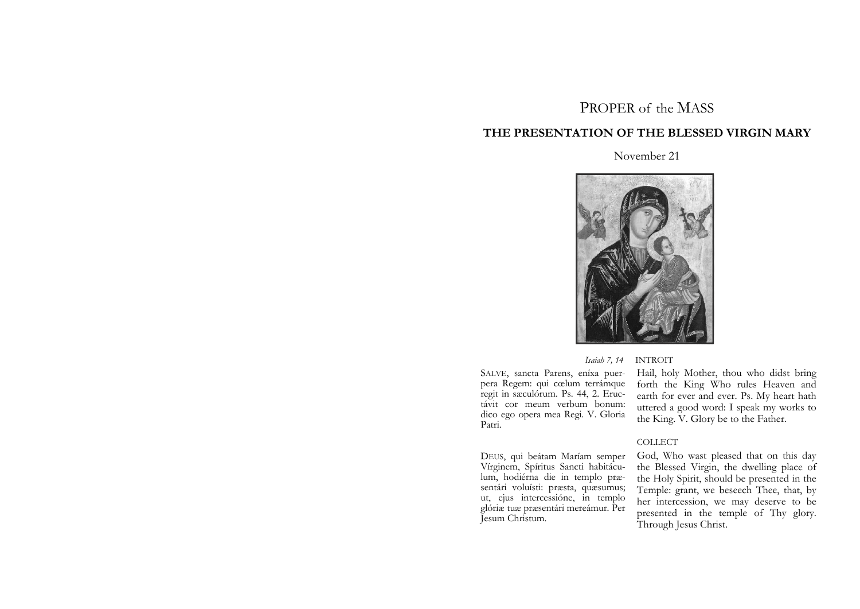# PROPER of the MASS

# **THE PRESENTATION OF THE BLESSED VIRGIN MARY**

# November 21



### *Isaiah 7, 14* INTROIT

SALVE, sancta Parens, eníxa puerpera Regem: qui cœlum terrámque regit in sæculórum. Ps. 44, 2. Eructávit cor meum verbum bonum: dico ego opera mea Regi. V. Gloria Patri.

DEUS, qui beátam Maríam semper Vírginem, Spíritus Sancti habitáculum, hodiérna die in templo præsentári voluísti: præsta, quæsumus; ut, ejus intercessióne, in templo glóriæ tuæ præsentári mereámur. Per Jesum Christum.

Hail, holy Mother, thou who didst bring forth the King Who rules Heaven and earth for ever and ever. Ps. My heart hath uttered a good word: I speak my works to the King. V. Glory be to the Father.

### COLLECT

God, Who wast pleased that on this day the Blessed Virgin, the dwelling place of the Holy Spirit, should be presented in the Temple: grant, we beseech Thee, that, by her intercession, we may deserve to be presented in the temple of Thy glory. Through Jesus Christ.